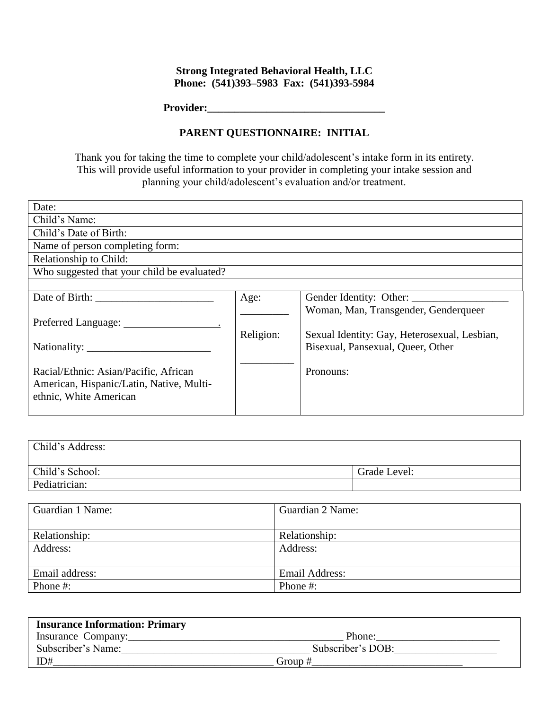## **Strong Integrated Behavioral Health, LLC Phone: (541)393–5983 Fax: (541)393-5984**

**Provider:\_\_\_\_\_\_\_\_\_\_\_\_\_\_\_\_\_\_\_\_\_\_\_\_\_\_\_\_\_\_\_\_\_**

## **PARENT QUESTIONNAIRE: INITIAL**

Thank you for taking the time to complete your child/adolescent's intake form in its entirety. This will provide useful information to your provider in completing your intake session and planning your child/adolescent's evaluation and/or treatment.

| Date:                                       |           |                                              |  |  |  |
|---------------------------------------------|-----------|----------------------------------------------|--|--|--|
| Child's Name:                               |           |                                              |  |  |  |
| Child's Date of Birth:                      |           |                                              |  |  |  |
| Name of person completing form:             |           |                                              |  |  |  |
| Relationship to Child:                      |           |                                              |  |  |  |
| Who suggested that your child be evaluated? |           |                                              |  |  |  |
|                                             |           |                                              |  |  |  |
|                                             | Age:      |                                              |  |  |  |
|                                             |           | Woman, Man, Transgender, Genderqueer         |  |  |  |
|                                             |           |                                              |  |  |  |
|                                             | Religion: | Sexual Identity: Gay, Heterosexual, Lesbian, |  |  |  |
|                                             |           | Bisexual, Pansexual, Queer, Other            |  |  |  |
|                                             |           |                                              |  |  |  |
| Racial/Ethnic: Asian/Pacific, African       |           | Pronouns:                                    |  |  |  |
| American, Hispanic/Latin, Native, Multi-    |           |                                              |  |  |  |
| ethnic, White American                      |           |                                              |  |  |  |
|                                             |           |                                              |  |  |  |

| Child's Address: |              |
|------------------|--------------|
| Child's School:  | Grade Level: |
| Pediatrician:    |              |

| Guardian 1 Name: | Guardian 2 Name: |
|------------------|------------------|
|                  |                  |
| Relationship:    | Relationship:    |
| Address:         | Address:         |
|                  |                  |
| Email address:   | Email Address:   |
| Phone #:         | Phone #:         |

| <b>Insurance Information: Primary</b> |                   |
|---------------------------------------|-------------------|
| Insurance Company:                    | Phone:            |
| Subscriber's Name:                    | Subscriber's DOB: |
| ID#                                   | Group #           |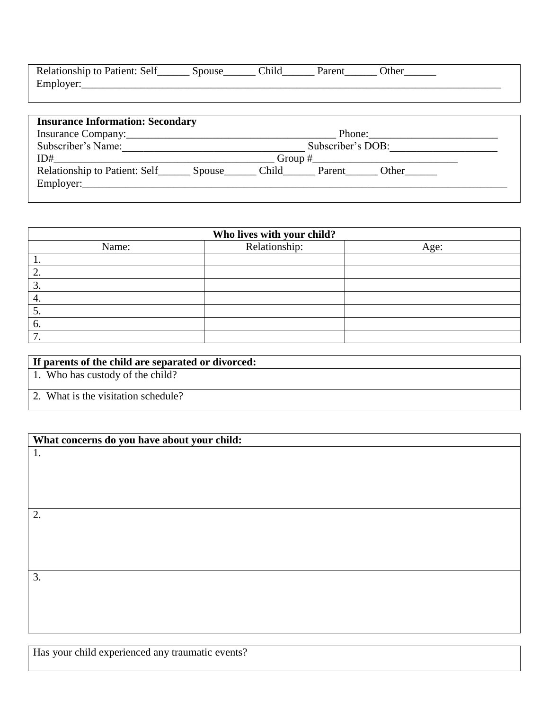| Relationship to Patient: Self | <b>SDOUSE</b> | <b>Chila</b> | Jaran | <b>Ither</b> |  |
|-------------------------------|---------------|--------------|-------|--------------|--|
| Employer:                     |               |              |       |              |  |
|                               |               |              |       |              |  |

| <b>Insurance Information: Secondary</b><br>Relationship to Patient: Self_________ Spouse_ | Employer: | Subscriber's DOB:<br>$Group \#$<br>Child Parent Other |
|-------------------------------------------------------------------------------------------|-----------|-------------------------------------------------------|

| Who lives with your child? |               |      |  |  |  |
|----------------------------|---------------|------|--|--|--|
| Name:                      | Relationship: | Age: |  |  |  |
| . .                        |               |      |  |  |  |
|                            |               |      |  |  |  |
|                            |               |      |  |  |  |
| 4.                         |               |      |  |  |  |
| J.                         |               |      |  |  |  |
| $\sigma$                   |               |      |  |  |  |
|                            |               |      |  |  |  |

## **If parents of the child are separated or divorced:**

1. Who has custody of the child?

2. What is the visitation schedule?

| What concerns do you have about your child: |  |  |
|---------------------------------------------|--|--|
| 1.                                          |  |  |
|                                             |  |  |
|                                             |  |  |
|                                             |  |  |
|                                             |  |  |
|                                             |  |  |
| 2.                                          |  |  |
|                                             |  |  |
|                                             |  |  |
|                                             |  |  |
|                                             |  |  |
|                                             |  |  |
| 3.                                          |  |  |
|                                             |  |  |
|                                             |  |  |
|                                             |  |  |
|                                             |  |  |

Has your child experienced any traumatic events?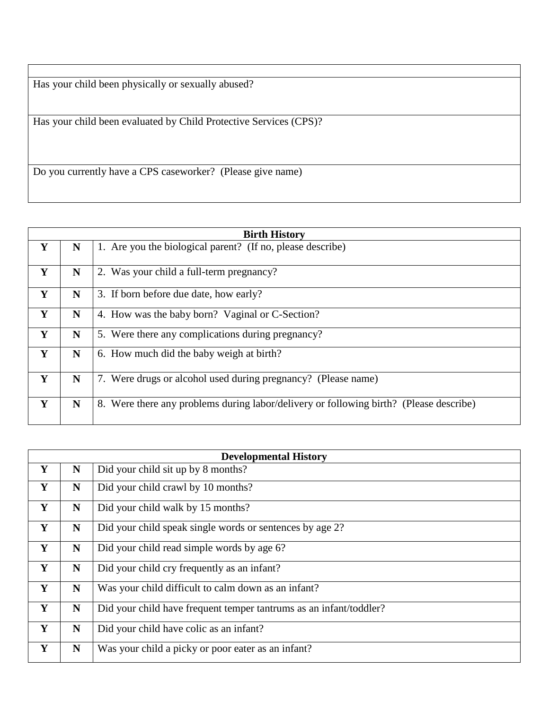Has your child been physically or sexually abused?

Has your child been evaluated by Child Protective Services (CPS)?

Do you currently have a CPS caseworker? (Please give name)

|   | <b>Birth History</b> |                                                                                        |  |  |  |
|---|----------------------|----------------------------------------------------------------------------------------|--|--|--|
| Y | N                    | 1. Are you the biological parent? (If no, please describe)                             |  |  |  |
| Y | N                    | 2. Was your child a full-term pregnancy?                                               |  |  |  |
| Y | N                    | 3. If born before due date, how early?                                                 |  |  |  |
| Y | N                    | 4. How was the baby born? Vaginal or C-Section?                                        |  |  |  |
| Y | N                    | 5. Were there any complications during pregnancy?                                      |  |  |  |
| Y | N                    | 6. How much did the baby weigh at birth?                                               |  |  |  |
| Y | N                    | 7. Were drugs or alcohol used during pregnancy? (Please name)                          |  |  |  |
| Y | N                    | 8. Were there any problems during labor/delivery or following birth? (Please describe) |  |  |  |

|   | <b>Developmental History</b> |                                                                    |  |  |  |
|---|------------------------------|--------------------------------------------------------------------|--|--|--|
| Y | N                            | Did your child sit up by 8 months?                                 |  |  |  |
| Y | $\mathbf N$                  | Did your child crawl by 10 months?                                 |  |  |  |
| Y | $\mathbf N$                  | Did your child walk by 15 months?                                  |  |  |  |
| Y | $\mathbf N$                  | Did your child speak single words or sentences by age 2?           |  |  |  |
| Y | $\mathbf N$                  | Did your child read simple words by age 6?                         |  |  |  |
| Y | $\mathbf N$                  | Did your child cry frequently as an infant?                        |  |  |  |
| Y | $\mathbf N$                  | Was your child difficult to calm down as an infant?                |  |  |  |
| Y | N                            | Did your child have frequent temper tantrums as an infant/toddler? |  |  |  |
| Y | N                            | Did your child have colic as an infant?                            |  |  |  |
| Y | $\mathbf N$                  | Was your child a picky or poor eater as an infant?                 |  |  |  |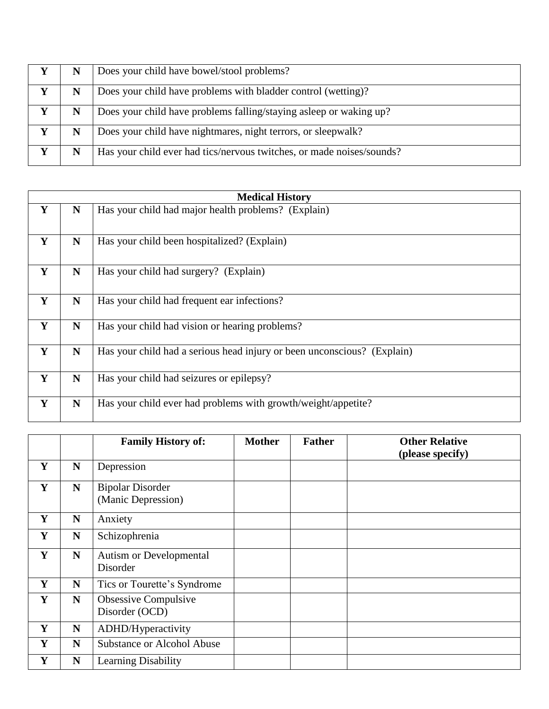|   | N | Does your child have bowel/stool problems?                            |
|---|---|-----------------------------------------------------------------------|
| Y | N | Does your child have problems with bladder control (wetting)?         |
| Y | N | Does your child have problems falling/staying asleep or waking up?    |
| Y | N | Does your child have nightmares, night terrors, or sleepwalk?         |
|   | N | Has your child ever had tics/nervous twitches, or made noises/sounds? |

|   |             | <b>Medical History</b>                                                  |
|---|-------------|-------------------------------------------------------------------------|
| Y | N           | Has your child had major health problems? (Explain)                     |
| Y | $\mathbf N$ | Has your child been hospitalized? (Explain)                             |
| Y | N           | Has your child had surgery? (Explain)                                   |
| Y | N           | Has your child had frequent ear infections?                             |
| Y | $\mathbf N$ | Has your child had vision or hearing problems?                          |
| Y | $\mathbf N$ | Has your child had a serious head injury or been unconscious? (Explain) |
| Y | N           | Has your child had seizures or epilepsy?                                |
| Y | $\mathbf N$ | Has your child ever had problems with growth/weight/appetite?           |

|   |             | <b>Family History of:</b>                     | <b>Mother</b> | <b>Father</b> | <b>Other Relative</b><br>(please specify) |
|---|-------------|-----------------------------------------------|---------------|---------------|-------------------------------------------|
| Y | $\mathbf N$ | Depression                                    |               |               |                                           |
| Y | $\mathbf N$ | <b>Bipolar Disorder</b><br>(Manic Depression) |               |               |                                           |
| Y | N           | Anxiety                                       |               |               |                                           |
| Y | $\mathbf N$ | Schizophrenia                                 |               |               |                                           |
| Y | $\mathbf N$ | <b>Autism or Developmental</b><br>Disorder    |               |               |                                           |
| Y | N           | Tics or Tourette's Syndrome                   |               |               |                                           |
| Y | $\mathbf N$ | Obsessive Compulsive<br>Disorder (OCD)        |               |               |                                           |
| Y | N           | ADHD/Hyperactivity                            |               |               |                                           |
| Y | N           | <b>Substance or Alcohol Abuse</b>             |               |               |                                           |
| Y | N           | Learning Disability                           |               |               |                                           |